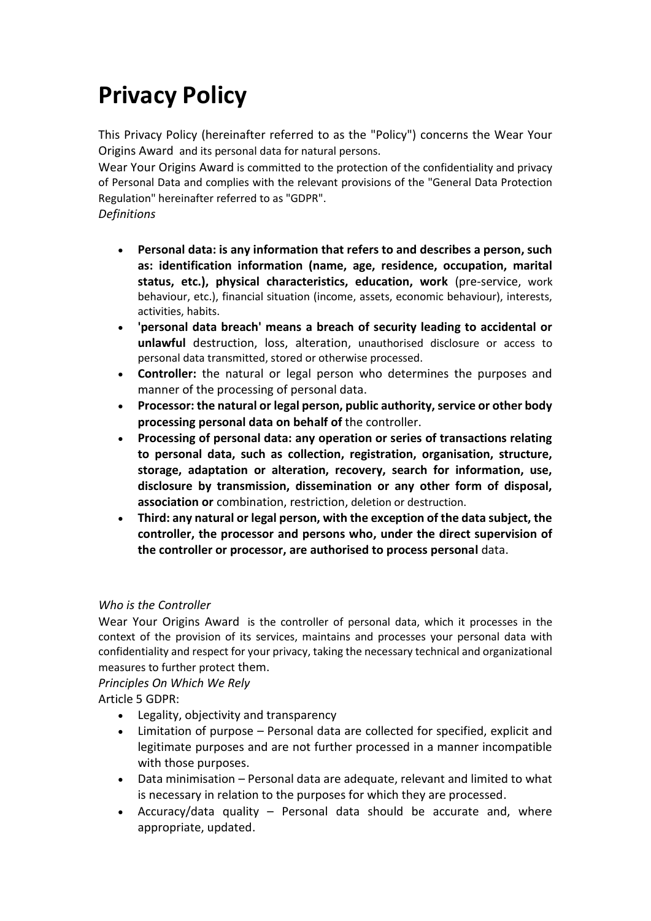# **Privacy Policy**

This Privacy Policy (hereinafter referred to as the "Policy") concerns the Wear Your Origins Award and its personal data for natural persons.

Wear Your Origins Award is committed to the protection of the confidentiality and privacy of Personal Data and complies with the relevant provisions of the "General Data Protection Regulation" hereinafter referred to as "GDPR".

## *Definitions*

- **Personal data: is any information that refers to and describes a person, such as: identification information (name, age, residence, occupation, marital status, etc.), physical characteristics, education, work** (pre-service, work behaviour, etc.), financial situation (income, assets, economic behaviour), interests, activities, habits.
- **'personal data breach' means a breach of security leading to accidental or unlawful** destruction, loss, alteration, unauthorised disclosure or access to personal data transmitted, stored or otherwise processed.
- **Controller:** the natural or legal person who determines the purposes and manner of the processing of personal data.
- **Processor: the natural or legal person, public authority, service or other body processing personal data on behalf of** the controller.
- **Processing of personal data: any operation or series of transactions relating to personal data, such as collection, registration, organisation, structure, storage, adaptation or alteration, recovery, search for information, use, disclosure by transmission, dissemination or any other form of disposal, association or** combination, restriction, deletion or destruction.
- **Third: any natural or legal person, with the exception of the data subject, the controller, the processor and persons who, under the direct supervision of the controller or processor, are authorised to process personal** data.

# *Who is the Controller*

Wear Your Origins Award is the controller of personal data, which it processes in the context of the provision of its services, maintains and processes your personal data with confidentiality and respect for your privacy, taking the necessary technical and organizational measures to further protect them.

*Principles On Which We Rely*

Article 5 GDPR:

- Legality, objectivity and transparency
- Limitation of purpose Personal data are collected for specified, explicit and legitimate purposes and are not further processed in a manner incompatible with those purposes.
- Data minimisation Personal data are adequate, relevant and limited to what is necessary in relation to the purposes for which they are processed.
- Accuracy/data quality Personal data should be accurate and, where appropriate, updated.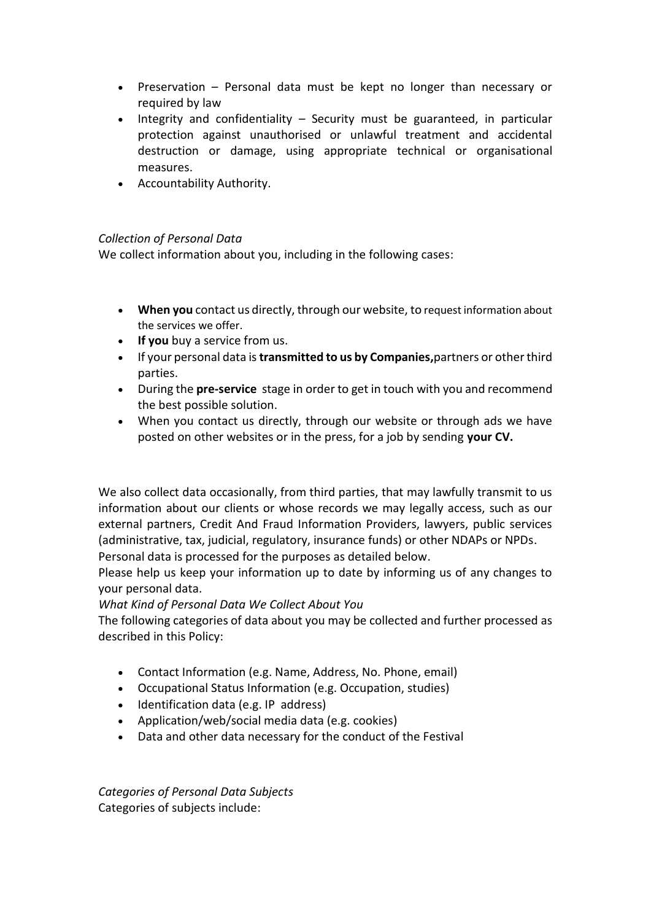- Preservation Personal data must be kept no longer than necessary or required by law
- $\bullet$  Integrity and confidentiality Security must be guaranteed, in particular protection against unauthorised or unlawful treatment and accidental destruction or damage, using appropriate technical or organisational measures.
- Accountability Authority.

#### *Collection of Personal Data*

We collect information about you, including in the following cases:

- **When you** contact us directly, through our website, to request information about the services we offer.
- **If you** buy a service from us.
- If your personal data is**transmitted to us by Companies,**partners or other third parties.
- During the **pre-service** stage in order to get in touch with you and recommend the best possible solution.
- When you contact us directly, through our website or through ads we have posted on other websites or in the press, for a job by sending **your CV.**

We also collect data occasionally, from third parties, that may lawfully transmit to us information about our clients or whose records we may legally access, such as our external partners, Credit And Fraud Information Providers, lawyers, public services (administrative, tax, judicial, regulatory, insurance funds) or other NDAPs or NPDs. Personal data is processed for the purposes as detailed below.

Please help us keep your information up to date by informing us of any changes to your personal data.

*What Kind of Personal Data We Collect About You*

The following categories of data about you may be collected and further processed as described in this Policy:

- Contact Information (e.g. Name, Address, No. Phone, email)
- Occupational Status Information (e.g. Occupation, studies)
- Identification data (e.g. IP address)
- Application/web/social media data (e.g. cookies)
- Data and other data necessary for the conduct of the Festival

*Categories of Personal Data Subjects* Categories of subjects include: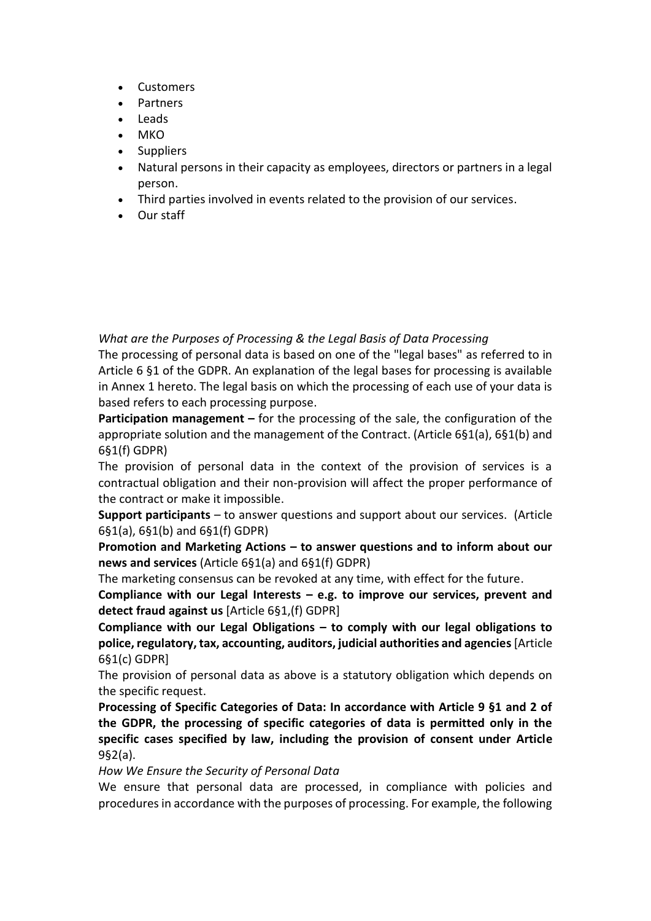- Customers
- Partners
- Leads
- **MKO**
- Suppliers
- Natural persons in their capacity as employees, directors or partners in a legal person.
- Third parties involved in events related to the provision of our services.
- Our staff

*What are the Purposes of Processing & the Legal Basis of Data Processing*

The processing of personal data is based on one of the "legal bases" as referred to in Article 6 §1 of the GDPR. An explanation of the legal bases for processing is available in Annex 1 hereto. The legal basis on which the processing of each use of your data is based refers to each processing purpose.

**Participation management –** for the processing of the sale, the configuration of the appropriate solution and the management of the Contract. (Article 6§1(a), 6§1(b) and 6§1(f) GDPR)

The provision of personal data in the context of the provision of services is a contractual obligation and their non-provision will affect the proper performance of the contract or make it impossible.

**Support participants** – to answer questions and support about our services. (Article 6§1(a), 6§1(b) and 6§1(f) GDPR)

**Promotion and Marketing Actions – to answer questions and to inform about our news and services** (Article 6§1(a) and 6§1(f) GDPR)

The marketing consensus can be revoked at any time, with effect for the future.

**Compliance with our Legal Interests – e.g. to improve our services, prevent and detect fraud against us** [Article 6§1,(f) GDPR]

**Compliance with our Legal Obligations – to comply with our legal obligations to police, regulatory, tax, accounting, auditors, judicial authorities and agencies**[Article 6§1(c) GDPR]

The provision of personal data as above is a statutory obligation which depends on the specific request.

**Processing of Specific Categories of Data: In accordance with Article 9 §1 and 2 of the GDPR, the processing of specific categories of data is permitted only in the specific cases specified by law, including the provision of consent under Article** 9§2(a).

*How We Ensure the Security of Personal Data*

We ensure that personal data are processed, in compliance with policies and procedures in accordance with the purposes of processing. For example, the following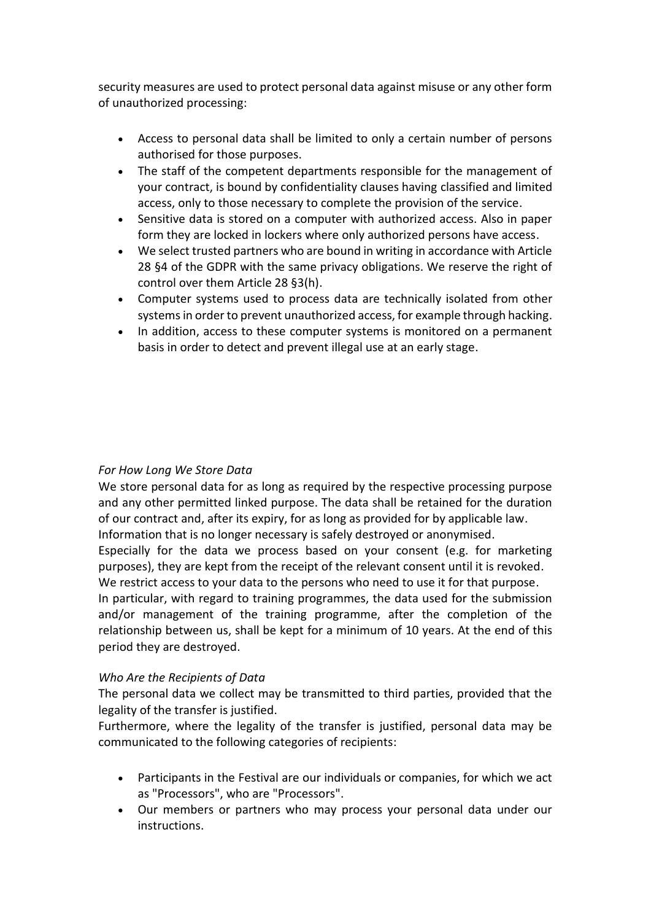security measures are used to protect personal data against misuse or any other form of unauthorized processing:

- Access to personal data shall be limited to only a certain number of persons authorised for those purposes.
- The staff of the competent departments responsible for the management of your contract, is bound by confidentiality clauses having classified and limited access, only to those necessary to complete the provision of the service.
- Sensitive data is stored on a computer with authorized access. Also in paper form they are locked in lockers where only authorized persons have access.
- We select trusted partners who are bound in writing in accordance with Article 28 §4 of the GDPR with the same privacy obligations. We reserve the right of control over them Article 28 §3(h).
- Computer systems used to process data are technically isolated from other systems in order to prevent unauthorized access, for example through hacking.
- In addition, access to these computer systems is monitored on a permanent basis in order to detect and prevent illegal use at an early stage.

### *For How Long We Store Data*

We store personal data for as long as required by the respective processing purpose and any other permitted linked purpose. The data shall be retained for the duration of our contract and, after its expiry, for as long as provided for by applicable law. Information that is no longer necessary is safely destroyed or anonymised. Especially for the data we process based on your consent (e.g. for marketing purposes), they are kept from the receipt of the relevant consent until it is revoked. We restrict access to your data to the persons who need to use it for that purpose. In particular, with regard to training programmes, the data used for the submission and/or management of the training programme, after the completion of the relationship between us, shall be kept for a minimum of 10 years. At the end of this period they are destroyed.

#### *Who Are the Recipients of Data*

The personal data we collect may be transmitted to third parties, provided that the legality of the transfer is justified.

Furthermore, where the legality of the transfer is justified, personal data may be communicated to the following categories of recipients:

- Participants in the Festival are our individuals or companies, for which we act as "Processors", who are "Processors".
- Our members or partners who may process your personal data under our instructions.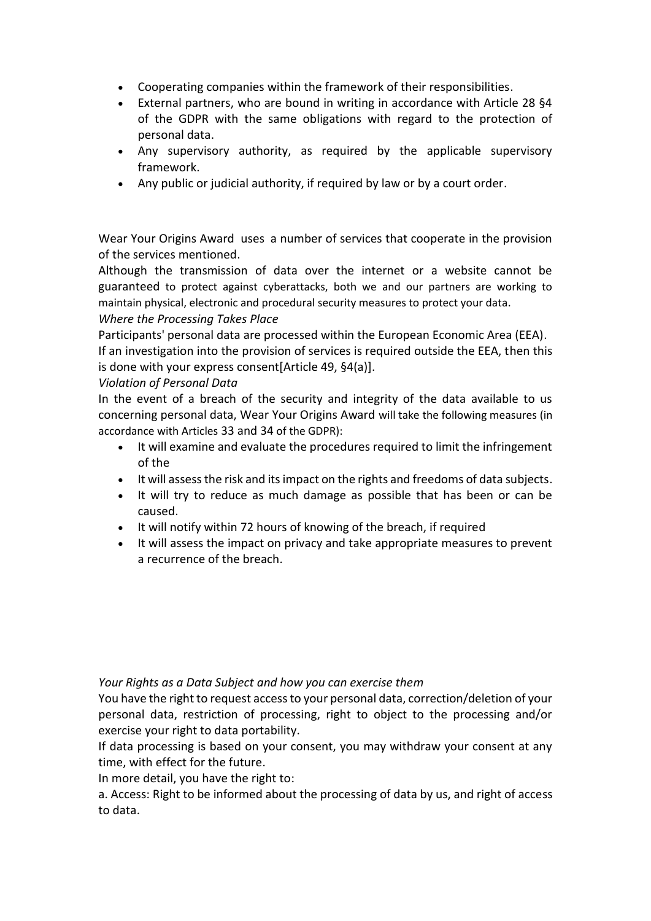- Cooperating companies within the framework of their responsibilities.
- External partners, who are bound in writing in accordance with Article 28 §4 of the GDPR with the same obligations with regard to the protection of personal data.
- Any supervisory authority, as required by the applicable supervisory framework.
- Any public or judicial authority, if required by law or by a court order.

Wear Your Origins Award uses a number of services that cooperate in the provision of the services mentioned.

Although the transmission of data over the internet or a website cannot be guaranteed to protect against cyberattacks, both we and our partners are working to maintain physical, electronic and procedural security measures to protect your data.

#### *Where the Processing Takes Place*

Participants' personal data are processed within the European Economic Area (EEA). If an investigation into the provision of services is required outside the EEA, then this is done with your express consent[Article 49, §4(a)].

#### *Violation of Personal Data*

In the event of a breach of the security and integrity of the data available to us concerning personal data, Wear Your Origins Award will take the following measures (in accordance with Articles 33 and 34 of the GDPR):

- It will examine and evaluate the procedures required to limit the infringement of the
- It will assess the risk and its impact on the rights and freedoms of data subjects.
- It will try to reduce as much damage as possible that has been or can be caused.
- It will notify within 72 hours of knowing of the breach, if required
- It will assess the impact on privacy and take appropriate measures to prevent a recurrence of the breach.

#### *Your Rights as a Data Subject and how you can exercise them*

You have the right to request access to your personal data, correction/deletion of your personal data, restriction of processing, right to object to the processing and/or exercise your right to data portability.

If data processing is based on your consent, you may withdraw your consent at any time, with effect for the future.

In more detail, you have the right to:

a. Access: Right to be informed about the processing of data by us, and right of access to data.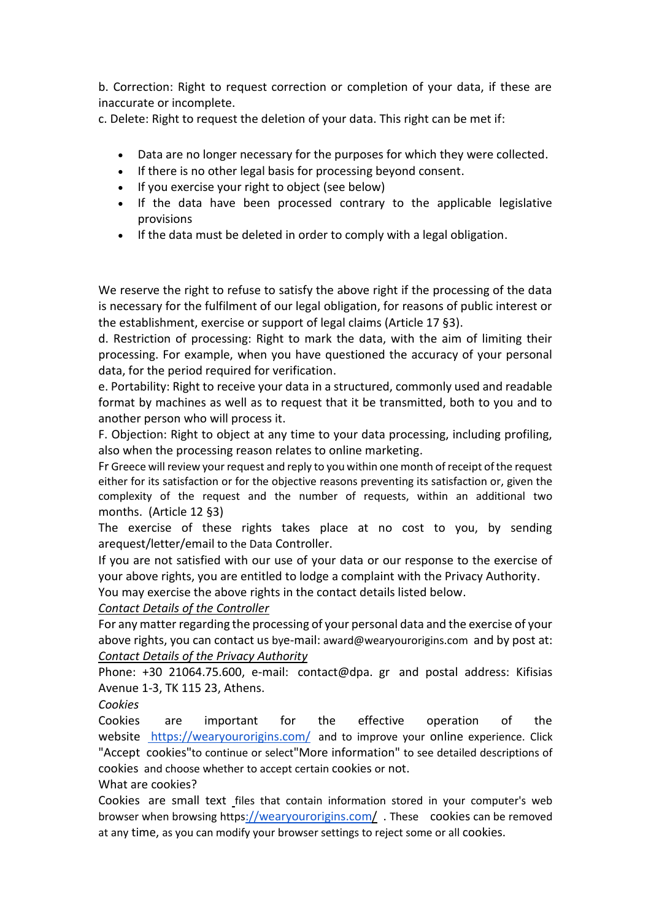b. Correction: Right to request correction or completion of your data, if these are inaccurate or incomplete.

c. Delete: Right to request the deletion of your data. This right can be met if:

- Data are no longer necessary for the purposes for which they were collected.
- If there is no other legal basis for processing beyond consent.
- If you exercise your right to object (see below)
- If the data have been processed contrary to the applicable legislative provisions
- If the data must be deleted in order to comply with a legal obligation.

We reserve the right to refuse to satisfy the above right if the processing of the data is necessary for the fulfilment of our legal obligation, for reasons of public interest or the establishment, exercise or support of legal claims (Article 17 §3).

d. Restriction of processing: Right to mark the data, with the aim of limiting their processing. For example, when you have questioned the accuracy of your personal data, for the period required for verification.

e. Portability: Right to receive your data in a structured, commonly used and readable format by machines as well as to request that it be transmitted, both to you and to another person who will process it.

F. Objection: Right to object at any time to your data processing, including profiling, also when the processing reason relates to online marketing.

Fr Greece will review your request and reply to you within one month of receipt of the request either for its satisfaction or for the objective reasons preventing its satisfaction or, given the complexity of the request and the number of requests, within an additional two months. (Article 12 §3)

The exercise of these rights takes place at no cost to you, by sending arequest/letter/email to the Data Controller.

If you are not satisfied with our use of your data or our response to the exercise of your above rights, you are entitled to lodge a complaint with the Privacy Authority.

You may exercise the above rights in the contact details listed below.

*Contact Details of the Controller*

For any matter regarding the processing of your personal data and the exercise of your above rights, you can contact us bye-mail: award@wearyourorigins.com and by post at: *Contact Details of the Privacy Authority*

Phone: +30 21064.75.600, e-mail: contact@dpa. gr and postal address: Kifisias Avenue 1-3, TK 115 23, Athens.

*Cookies*

Cookies are important for the effective operation of the website <https://wearyourorigins.com/> and to improve your online experience. Click "Accept cookies"to continue or select"More information" to see detailed descriptions of cookies and choose whether to accept certain cookies or not.

What are cookies?

Cookies are small text [f](https://raiseyourvoice.gr/)iles that contain information stored in your computer's web browser when browsing https[://wearyourorigins.com/](https://wearyourorigins.com/). These cookies can be removed at any time, as you can modify your browser settings to reject some or all cookies.